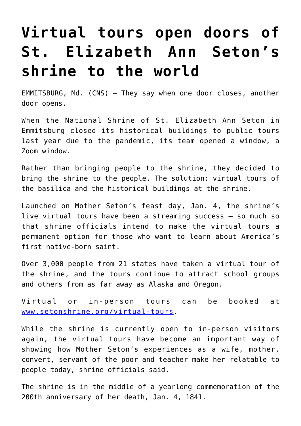## **[Virtual tours open doors of](https://www.osvnews.com/2021/05/26/virtual-tours-open-doors-of-st-elizabeth-ann-setons-shrine-to-the-world/) [St. Elizabeth Ann Seton's](https://www.osvnews.com/2021/05/26/virtual-tours-open-doors-of-st-elizabeth-ann-setons-shrine-to-the-world/) [shrine to the world](https://www.osvnews.com/2021/05/26/virtual-tours-open-doors-of-st-elizabeth-ann-setons-shrine-to-the-world/)**

EMMITSBURG, Md. (CNS) — They say when one door closes, another door opens.

When the National Shrine of St. Elizabeth Ann Seton in Emmitsburg closed its historical buildings to public tours last year due to the pandemic, its team opened a window, a Zoom window.

Rather than bringing people to the shrine, they decided to bring the shrine to the people. The solution: virtual tours of the basilica and the historical buildings at the shrine.

Launched on Mother Seton's feast day, Jan. 4, the shrine's live virtual tours have been a streaming success — so much so that shrine officials intend to make the virtual tours a permanent option for those who want to learn about America's first native-born saint.

Over 3,000 people from 21 states have taken a virtual tour of the shrine, and the tours continue to attract school groups and others from as far away as Alaska and Oregon.

Virtual or in-person tours can be booked at [www.setonshrine.org/virtual-tours.](http://www.setonshrine.org/virtual-tours)

While the shrine is currently open to in-person visitors again, the virtual tours have become an important way of showing how Mother Seton's experiences as a wife, mother, convert, servant of the poor and teacher make her relatable to people today, shrine officials said.

The shrine is in the middle of a yearlong commemoration of the 200th anniversary of her death, Jan. 4, 1841.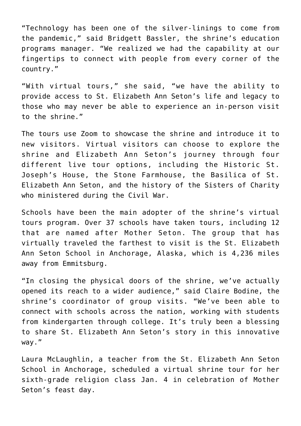"Technology has been one of the silver-linings to come from the pandemic," said Bridgett Bassler, the shrine's education programs manager. "We realized we had the capability at our fingertips to connect with people from every corner of the country."

"With virtual tours," she said, "we have the ability to provide access to St. Elizabeth Ann Seton's life and legacy to those who may never be able to experience an in-person visit to the shrine."

The tours use Zoom to showcase the shrine and introduce it to new visitors. Virtual visitors can choose to explore the shrine and Elizabeth Ann Seton's journey through four different live tour options, including the Historic St. Joseph's House, the Stone Farmhouse, the Basilica of St. Elizabeth Ann Seton, and the history of the Sisters of Charity who ministered during the Civil War.

Schools have been the main adopter of the shrine's virtual tours program. Over 37 schools have taken tours, including 12 that are named after Mother Seton. The group that has virtually traveled the farthest to visit is the St. Elizabeth Ann Seton School in Anchorage, Alaska, which is 4,236 miles away from Emmitsburg.

"In closing the physical doors of the shrine, we've actually opened its reach to a wider audience," said Claire Bodine, the shrine's coordinator of group visits. "We've been able to connect with schools across the nation, working with students from kindergarten through college. It's truly been a blessing to share St. Elizabeth Ann Seton's story in this innovative way."

Laura McLaughlin, a teacher from the St. Elizabeth Ann Seton School in Anchorage, scheduled a virtual shrine tour for her sixth-grade religion class Jan. 4 in celebration of Mother Seton's feast day.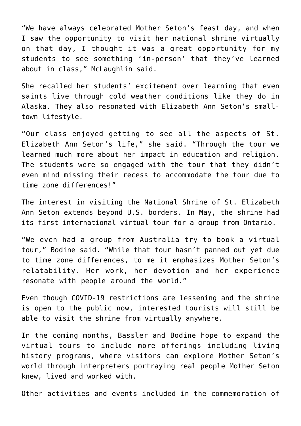"We have always celebrated Mother Seton's feast day, and when I saw the opportunity to visit her national shrine virtually on that day, I thought it was a great opportunity for my students to see something 'in-person' that they've learned about in class," McLaughlin said.

She recalled her students' excitement over learning that even saints live through cold weather conditions like they do in Alaska. They also resonated with Elizabeth Ann Seton's smalltown lifestyle.

"Our class enjoyed getting to see all the aspects of St. Elizabeth Ann Seton's life," she said. "Through the tour we learned much more about her impact in education and religion. The students were so engaged with the tour that they didn't even mind missing their recess to accommodate the tour due to time zone differences!"

The interest in visiting the National Shrine of St. Elizabeth Ann Seton extends beyond U.S. borders. In May, the shrine had its first international virtual tour for a group from Ontario.

"We even had a group from Australia try to book a virtual tour," Bodine said. "While that tour hasn't panned out yet due to time zone differences, to me it emphasizes Mother Seton's relatability. Her work, her devotion and her experience resonate with people around the world."

Even though COVID-19 restrictions are lessening and the shrine is open to the public now, interested tourists will still be able to visit the shrine from virtually anywhere.

In the coming months, Bassler and Bodine hope to expand the virtual tours to include more offerings including living history programs, where visitors can explore Mother Seton's world through interpreters portraying real people Mother Seton knew, lived and worked with.

Other activities and events included in the commemoration of